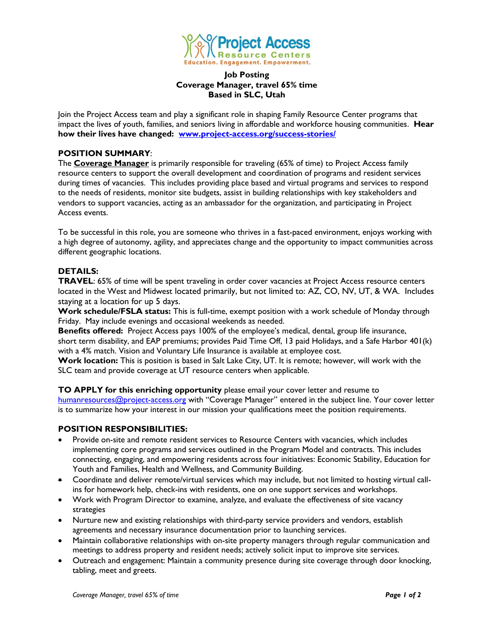

## **Job Posting Coverage Manager, travel 65% time Based in SLC, Utah**

Join the Project Access team and play a significant role in shaping Family Resource Center programs that impact the lives of youth, families, and seniors living in affordable and workforce housing communities. **Hear how their lives have changed: [www.project-access.org/success-stories/](http://www.project-access.org/success-stories/)**

# **POSITION SUMMARY**:

The **Coverage Manager** is primarily responsible for traveling (65% of time) to Project Access family resource centers to support the overall development and coordination of programs and resident services during times of vacancies. This includes providing place based and virtual programs and services to respond to the needs of residents, monitor site budgets, assist in building relationships with key stakeholders and vendors to support vacancies, acting as an ambassador for the organization, and participating in Project Access events.

To be successful in this role, you are someone who thrives in a fast-paced environment, enjoys working with a high degree of autonomy, agility, and appreciates change and the opportunity to impact communities across different geographic locations.

## **DETAILS:**

**TRAVEL**: 65% of time will be spent traveling in order cover vacancies at Project Access resource centers located in the West and Midwest located primarily, but not limited to: AZ, CO, NV, UT, & WA. Includes staying at a location for up 5 days.

**Work schedule/FSLA status:** This is full-time, exempt position with a work schedule of Monday through Friday. May include evenings and occasional weekends as needed.

**Benefits offered:** Project Access pays 100% of the employee's medical, dental, group life insurance, short term disability, and EAP premiums; provides Paid Time Off, 13 paid Holidays, and a Safe Harbor 401(k) with a 4% match. Vision and Voluntary Life Insurance is available at employee cost.

**Work location:** This is position is based in Salt Lake City, UT. It is remote; however, will work with the SLC team and provide coverage at UT resource centers when applicable.

**TO APPLY for this enriching opportunity** please email your cover letter and resume to [humanresources@project-access.org](mailto:humanresources@project-access.org) with "Coverage Manager" entered in the subject line. Your cover letter is to summarize how your interest in our mission your qualifications meet the position requirements.

### **POSITION RESPONSIBILITIES:**

- Provide on-site and remote resident services to Resource Centers with vacancies, which includes implementing core programs and services outlined in the Program Model and contracts. This includes connecting, engaging, and empowering residents across four initiatives: Economic Stability, Education for Youth and Families, Health and Wellness, and Community Building.
- Coordinate and deliver remote/virtual services which may include, but not limited to hosting virtual callins for homework help, check-ins with residents, one on one support services and workshops.
- Work with Program Director to examine, analyze, and evaluate the effectiveness of site vacancy strategies
- Nurture new and existing relationships with third-party service providers and vendors, establish agreements and necessary insurance documentation prior to launching services.
- Maintain collaborative relationships with on-site property managers through regular communication and meetings to address property and resident needs; actively solicit input to improve site services.
- Outreach and engagement: Maintain a community presence during site coverage through door knocking, tabling, meet and greets.